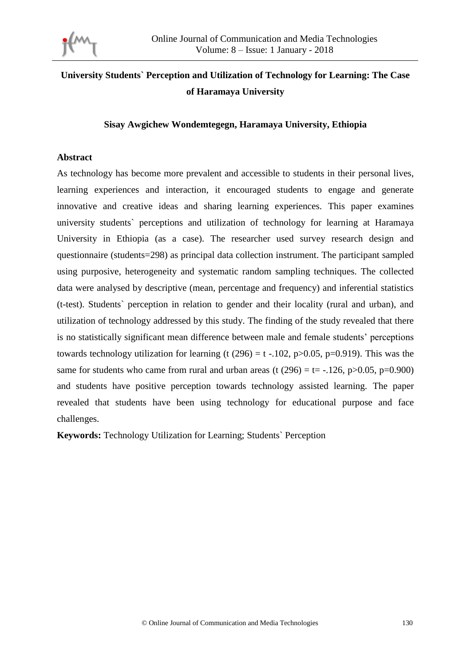

# **University Students` Perception and Utilization of Technology for Learning: The Case of Haramaya University**

**Sisay Awgichew Wondemtegegn, Haramaya University, Ethiopia**

#### **Abstract**

As technology has become more prevalent and accessible to students in their personal lives, learning experiences and interaction, it encouraged students to engage and generate innovative and creative ideas and sharing learning experiences. This paper examines university students` perceptions and utilization of technology for learning at Haramaya University in Ethiopia (as a case). The researcher used survey research design and questionnaire (students=298) as principal data collection instrument. The participant sampled using purposive, heterogeneity and systematic random sampling techniques. The collected data were analysed by descriptive (mean, percentage and frequency) and inferential statistics (t-test). Students` perception in relation to gender and their locality (rural and urban), and utilization of technology addressed by this study. The finding of the study revealed that there is no statistically significant mean difference between male and female students' perceptions towards technology utilization for learning (t (296) = t -.102, p $>0.05$ , p=0.919). This was the same for students who came from rural and urban areas (t  $(296) = t = -0.126$ , p $>0.05$ , p=0.900) and students have positive perception towards technology assisted learning. The paper revealed that students have been using technology for educational purpose and face challenges.

**Keywords:** Technology Utilization for Learning; Students` Perception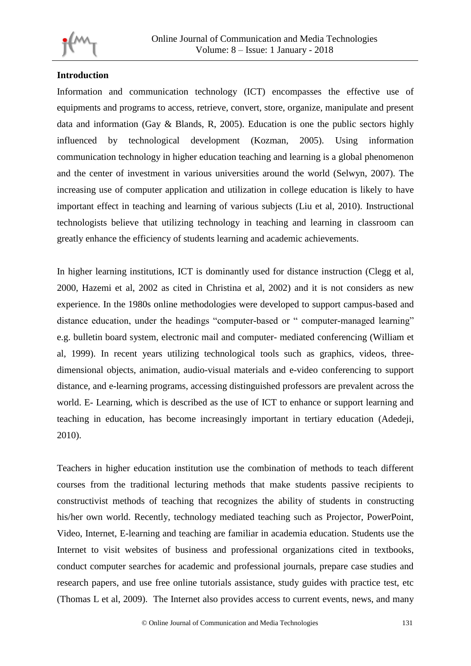

# **Introduction**

Information and communication technology (ICT) encompasses the effective use of equipments and programs to access, retrieve, convert, store, organize, manipulate and present data and information (Gay & Blands, R, 2005). Education is one the public sectors highly influenced by technological development (Kozman, 2005). Using information communication technology in higher education teaching and learning is a global phenomenon and the center of investment in various universities around the world (Selwyn, 2007). The increasing use of computer application and utilization in college education is likely to have important effect in teaching and learning of various subjects (Liu et al, 2010). Instructional technologists believe that utilizing technology in teaching and learning in classroom can greatly enhance the efficiency of students learning and academic achievements.

In higher learning institutions, ICT is dominantly used for distance instruction (Clegg et al, 2000, Hazemi et al, 2002 as cited in Christina et al, 2002) and it is not considers as new experience. In the 1980s online methodologies were developed to support campus-based and distance education, under the headings "computer-based or " computer-managed learning" e.g. bulletin board system, electronic mail and computer- mediated conferencing (William et al, 1999). In recent years utilizing technological tools such as graphics, videos, threedimensional objects, animation, audio-visual materials and e-video conferencing to support distance, and e-learning programs, accessing distinguished professors are prevalent across the world. E- Learning, which is described as the use of ICT to enhance or support learning and teaching in education, has become increasingly important in tertiary education (Adedeji, 2010).

Teachers in higher education institution use the combination of methods to teach different courses from the traditional lecturing methods that make students passive recipients to constructivist methods of teaching that recognizes the ability of students in constructing his/her own world. Recently, technology mediated teaching such as Projector, PowerPoint, Video, Internet, E-learning and teaching are familiar in academia education. Students use the Internet to visit websites of business and professional organizations cited in textbooks, conduct computer searches for academic and professional journals, prepare case studies and research papers, and use free online tutorials assistance, study guides with practice test, etc (Thomas L et al, 2009). The Internet also provides access to current events, news, and many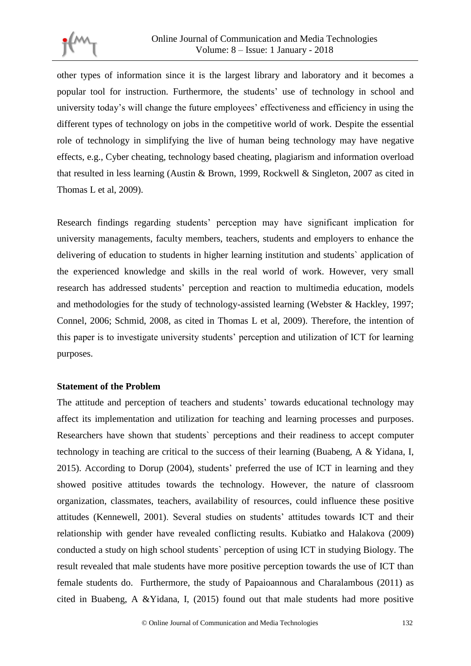

other types of information since it is the largest library and laboratory and it becomes a popular tool for instruction. Furthermore, the students' use of technology in school and university today's will change the future employees' effectiveness and efficiency in using the different types of technology on jobs in the competitive world of work. Despite the essential role of technology in simplifying the live of human being technology may have negative effects, e.g., Cyber cheating, technology based cheating, plagiarism and information overload that resulted in less learning (Austin & Brown, 1999, Rockwell & Singleton, 2007 as cited in Thomas L et al, 2009).

Research findings regarding students' perception may have significant implication for university managements, faculty members, teachers, students and employers to enhance the delivering of education to students in higher learning institution and students` application of the experienced knowledge and skills in the real world of work. However, very small research has addressed students' perception and reaction to multimedia education, models and methodologies for the study of technology-assisted learning (Webster & Hackley, 1997; Connel, 2006; Schmid, 2008, as cited in Thomas L et al, 2009). Therefore, the intention of this paper is to investigate university students' perception and utilization of ICT for learning purposes.

#### **Statement of the Problem**

The attitude and perception of teachers and students' towards educational technology may affect its implementation and utilization for teaching and learning processes and purposes. Researchers have shown that students` perceptions and their readiness to accept computer technology in teaching are critical to the success of their learning (Buabeng, A & Yidana, I, 2015). According to Dorup (2004), students' preferred the use of ICT in learning and they showed positive attitudes towards the technology. However, the nature of classroom organization, classmates, teachers, availability of resources, could influence these positive attitudes (Kennewell, 2001). Several studies on students' attitudes towards ICT and their relationship with gender have revealed conflicting results. Kubiatko and Halakova (2009) conducted a study on high school students` perception of using ICT in studying Biology. The result revealed that male students have more positive perception towards the use of ICT than female students do. Furthermore, the study of Papaioannous and Charalambous (2011) as cited in Buabeng, A &Yidana, I, (2015) found out that male students had more positive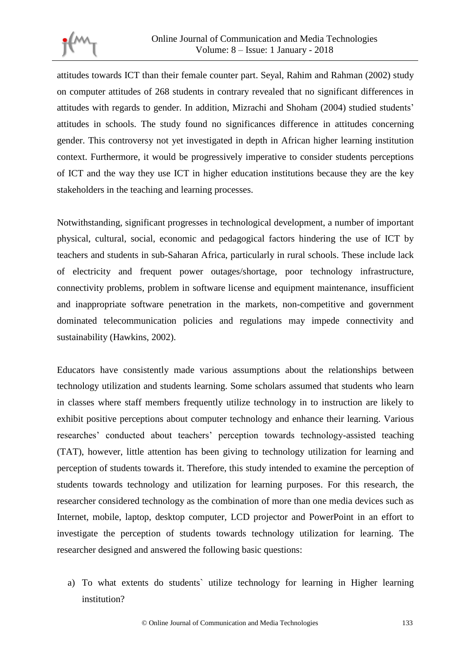

attitudes towards ICT than their female counter part. Seyal, Rahim and Rahman (2002) study on computer attitudes of 268 students in contrary revealed that no significant differences in attitudes with regards to gender. In addition, Mizrachi and Shoham (2004) studied students' attitudes in schools. The study found no significances difference in attitudes concerning gender. This controversy not yet investigated in depth in African higher learning institution context. Furthermore, it would be progressively imperative to consider students perceptions of ICT and the way they use ICT in higher education institutions because they are the key stakeholders in the teaching and learning processes.

Notwithstanding, significant progresses in technological development, a number of important physical, cultural, social, economic and pedagogical factors hindering the use of ICT by teachers and students in sub-Saharan Africa, particularly in rural schools. These include lack of electricity and frequent power outages/shortage, poor technology infrastructure, connectivity problems, problem in software license and equipment maintenance, insufficient and inappropriate software penetration in the markets, non-competitive and government dominated telecommunication policies and regulations may impede connectivity and sustainability (Hawkins, 2002).

Educators have consistently made various assumptions about the relationships between technology utilization and students learning. Some scholars assumed that students who learn in classes where staff members frequently utilize technology in to instruction are likely to exhibit positive perceptions about computer technology and enhance their learning. Various researches' conducted about teachers' perception towards technology-assisted teaching (TAT), however, little attention has been giving to technology utilization for learning and perception of students towards it. Therefore, this study intended to examine the perception of students towards technology and utilization for learning purposes. For this research, the researcher considered technology as the combination of more than one media devices such as Internet, mobile, laptop, desktop computer, LCD projector and PowerPoint in an effort to investigate the perception of students towards technology utilization for learning. The researcher designed and answered the following basic questions:

a) To what extents do students` utilize technology for learning in Higher learning institution?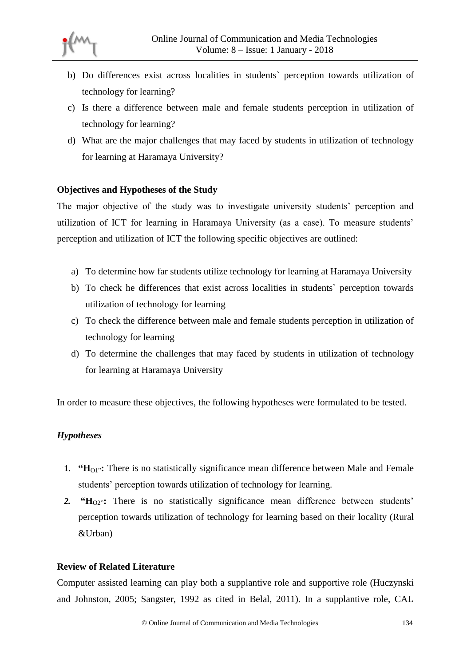- b) Do differences exist across localities in students` perception towards utilization of technology for learning?
- c) Is there a difference between male and female students perception in utilization of technology for learning?
- d) What are the major challenges that may faced by students in utilization of technology for learning at Haramaya University?

# **Objectives and Hypotheses of the Study**

The major objective of the study was to investigate university students' perception and utilization of ICT for learning in Haramaya University (as a case). To measure students' perception and utilization of ICT the following specific objectives are outlined:

- a) To determine how far students utilize technology for learning at Haramaya University
- b) To check he differences that exist across localities in students` perception towards utilization of technology for learning
- c) To check the difference between male and female students perception in utilization of technology for learning
- d) To determine the challenges that may faced by students in utilization of technology for learning at Haramaya University

In order to measure these objectives, the following hypotheses were formulated to be tested.

## *Hypotheses*

- **1. "H**<sub>O1</sub>": There is no statistically significance mean difference between Male and Female students' perception towards utilization of technology for learning.
- 2. **"H**<sub>O2"</sub>: There is no statistically significance mean difference between students' perception towards utilization of technology for learning based on their locality (Rural &Urban)

## **Review of Related Literature**

Computer assisted learning can play both a supplantive role and supportive role (Huczynski and Johnston, 2005; Sangster, 1992 as cited in Belal, 2011). In a supplantive role, CAL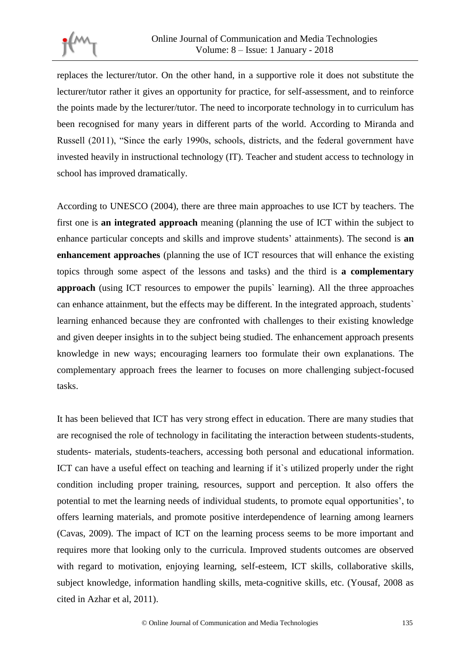replaces the lecturer/tutor. On the other hand, in a supportive role it does not substitute the lecturer/tutor rather it gives an opportunity for practice, for self-assessment, and to reinforce the points made by the lecturer/tutor. The need to incorporate technology in to curriculum has been recognised for many years in different parts of the world. According to Miranda and Russell (2011), "Since the early 1990s, schools, districts, and the federal government have invested heavily in instructional technology (IT). Teacher and student access to technology in school has improved dramatically.

According to UNESCO (2004), there are three main approaches to use ICT by teachers. The first one is **an integrated approach** meaning (planning the use of ICT within the subject to enhance particular concepts and skills and improve students' attainments). The second is **an enhancement approaches** (planning the use of ICT resources that will enhance the existing topics through some aspect of the lessons and tasks) and the third is **a complementary approach** (using ICT resources to empower the pupils` learning). All the three approaches can enhance attainment, but the effects may be different. In the integrated approach, students` learning enhanced because they are confronted with challenges to their existing knowledge and given deeper insights in to the subject being studied. The enhancement approach presents knowledge in new ways; encouraging learners too formulate their own explanations. The complementary approach frees the learner to focuses on more challenging subject-focused tasks.

It has been believed that ICT has very strong effect in education. There are many studies that are recognised the role of technology in facilitating the interaction between students-students, students- materials, students-teachers, accessing both personal and educational information. ICT can have a useful effect on teaching and learning if it`s utilized properly under the right condition including proper training, resources, support and perception. It also offers the potential to met the learning needs of individual students, to promote equal opportunities', to offers learning materials, and promote positive interdependence of learning among learners (Cavas, 2009). The impact of ICT on the learning process seems to be more important and requires more that looking only to the curricula. Improved students outcomes are observed with regard to motivation, enjoying learning, self-esteem, ICT skills, collaborative skills, subject knowledge, information handling skills, meta-cognitive skills, etc. (Yousaf, 2008 as cited in Azhar et al, 2011).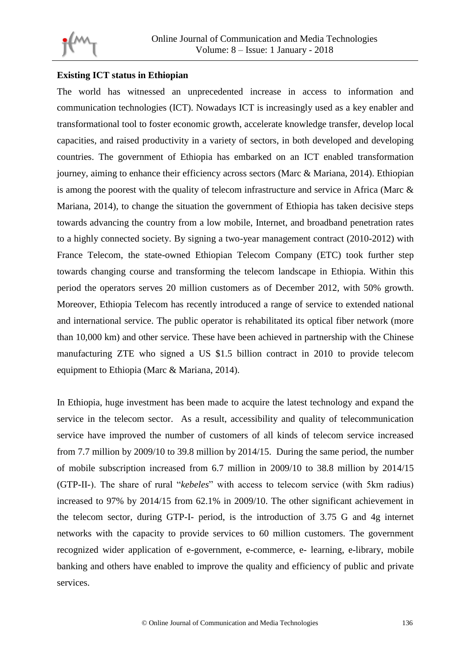

## **Existing ICT status in Ethiopian**

The world has witnessed an unprecedented increase in access to information and communication technologies (ICT). Nowadays ICT is increasingly used as a key enabler and transformational tool to foster economic growth, accelerate knowledge transfer, develop local capacities, and raised productivity in a variety of sectors, in both developed and developing countries. The government of Ethiopia has embarked on an ICT enabled transformation journey, aiming to enhance their efficiency across sectors (Marc & Mariana, 2014). Ethiopian is among the poorest with the quality of telecom infrastructure and service in Africa (Marc & Mariana, 2014), to change the situation the government of Ethiopia has taken decisive steps towards advancing the country from a low mobile, Internet, and broadband penetration rates to a highly connected society. By signing a two-year management contract (2010-2012) with France Telecom, the state-owned Ethiopian Telecom Company (ETC) took further step towards changing course and transforming the telecom landscape in Ethiopia. Within this period the operators serves 20 million customers as of December 2012, with 50% growth. Moreover, Ethiopia Telecom has recently introduced a range of service to extended national and international service. The public operator is rehabilitated its optical fiber network (more than 10,000 km) and other service. These have been achieved in partnership with the Chinese manufacturing ZTE who signed a US \$1.5 billion contract in 2010 to provide telecom equipment to Ethiopia (Marc & Mariana, 2014).

In Ethiopia, huge investment has been made to acquire the latest technology and expand the service in the telecom sector. As a result, accessibility and quality of telecommunication service have improved the number of customers of all kinds of telecom service increased from 7.7 million by 2009/10 to 39.8 million by 2014/15. During the same period, the number of mobile subscription increased from 6.7 million in 2009/10 to 38.8 million by 2014/15 (GTP-II-). The share of rural "*kebeles*" with access to telecom service (with 5km radius) increased to 97% by 2014/15 from 62.1% in 2009/10. The other significant achievement in the telecom sector, during GTP-I- period, is the introduction of 3.75 G and 4g internet networks with the capacity to provide services to 60 million customers. The government recognized wider application of e-government, e-commerce, e- learning, e-library, mobile banking and others have enabled to improve the quality and efficiency of public and private services.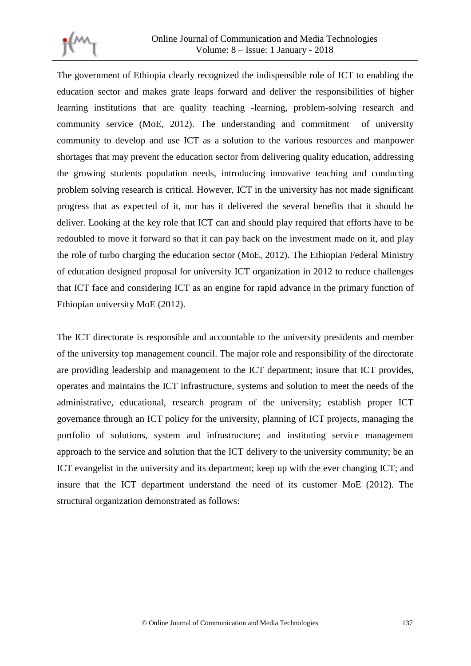

The government of Ethiopia clearly recognized the indispensible role of ICT to enabling the education sector and makes grate leaps forward and deliver the responsibilities of higher learning institutions that are quality teaching -learning, problem-solving research and community service (MoE, 2012). The understanding and commitment of university community to develop and use ICT as a solution to the various resources and manpower shortages that may prevent the education sector from delivering quality education, addressing the growing students population needs, introducing innovative teaching and conducting problem solving research is critical. However, ICT in the university has not made significant progress that as expected of it, nor has it delivered the several benefits that it should be deliver. Looking at the key role that ICT can and should play required that efforts have to be redoubled to move it forward so that it can pay back on the investment made on it, and play the role of turbo charging the education sector (MoE, 2012). The Ethiopian Federal Ministry of education designed proposal for university ICT organization in 2012 to reduce challenges that ICT face and considering ICT as an engine for rapid advance in the primary function of Ethiopian university MoE (2012).

The ICT directorate is responsible and accountable to the university presidents and member of the university top management council. The major role and responsibility of the directorate are providing leadership and management to the ICT department; insure that ICT provides, operates and maintains the ICT infrastructure, systems and solution to meet the needs of the administrative, educational, research program of the university; establish proper ICT governance through an ICT policy for the university, planning of ICT projects, managing the portfolio of solutions, system and infrastructure; and instituting service management approach to the service and solution that the ICT delivery to the university community; be an ICT evangelist in the university and its department; keep up with the ever changing ICT; and insure that the ICT department understand the need of its customer MoE (2012). The structural organization demonstrated as follows: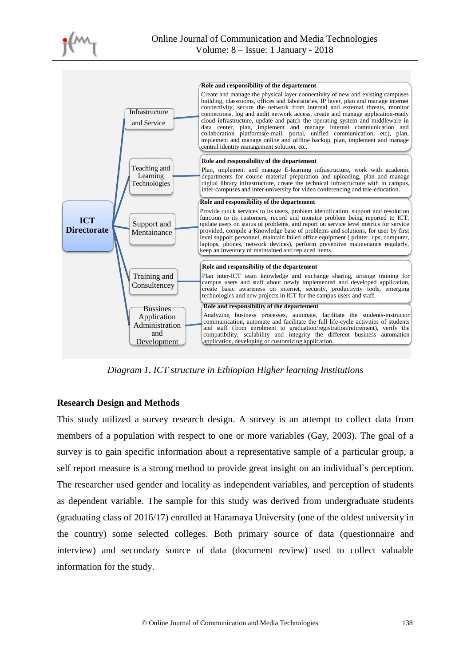



*Diagram 1. ICT structure in Ethiopian Higher learning Institutions*

## **Research Design and Methods**

This study utilized a survey research design. A survey is an attempt to collect data from members of a population with respect to one or more variables (Gay, 2003). The goal of a survey is to gain specific information about a representative sample of a particular group, a self report measure is a strong method to provide great insight on an individual`s perception. The researcher used gender and locality as independent variables, and perception of students as dependent variable. The sample for this study was derived from undergraduate students (graduating class of 2016/17) enrolled at Haramaya University (one of the oldest university in the country) some selected colleges. Both primary source of data (questionnaire and interview) and secondary source of data (document review) used to collect valuable information for the study.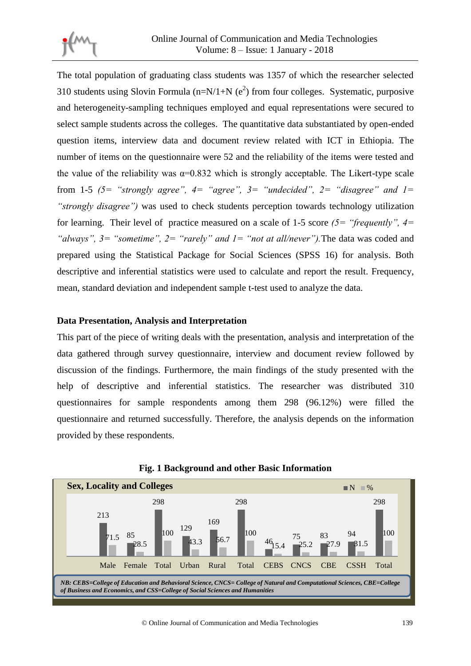

The total population of graduating class students was 1357 of which the researcher selected 310 students using Slovin Formula ( $n=N/1+N$  ( $e^2$ ) from four colleges. Systematic, purposive and heterogeneity-sampling techniques employed and equal representations were secured to select sample students across the colleges. The quantitative data substantiated by open-ended question items, interview data and document review related with ICT in Ethiopia. The number of items on the questionnaire were 52 and the reliability of the items were tested and the value of the reliability was  $\alpha=0.832$  which is strongly acceptable. The Likert-type scale from 1-5  $(5=$  "strongly agree",  $4=$  "agree",  $3=$  "undecided",  $2=$  "disagree" and  $1=$ *"strongly disagree")* was used to check students perception towards technology utilization for learning. Their level of practice measured on a scale of 1-5 score *(5= "frequently", 4= "always", 3= "sometime", 2= "rarely" and 1= "not at all/never").*The data was coded and prepared using the Statistical Package for Social Sciences (SPSS 16) for analysis. Both descriptive and inferential statistics were used to calculate and report the result. Frequency, mean, standard deviation and independent sample t-test used to analyze the data.

## **Data Presentation, Analysis and Interpretation**

This part of the piece of writing deals with the presentation, analysis and interpretation of the data gathered through survey questionnaire, interview and document review followed by discussion of the findings. Furthermore, the main findings of the study presented with the help of descriptive and inferential statistics. The researcher was distributed 310 questionnaires for sample respondents among them 298 (96.12%) were filled the questionnaire and returned successfully. Therefore, the analysis depends on the information provided by these respondents.



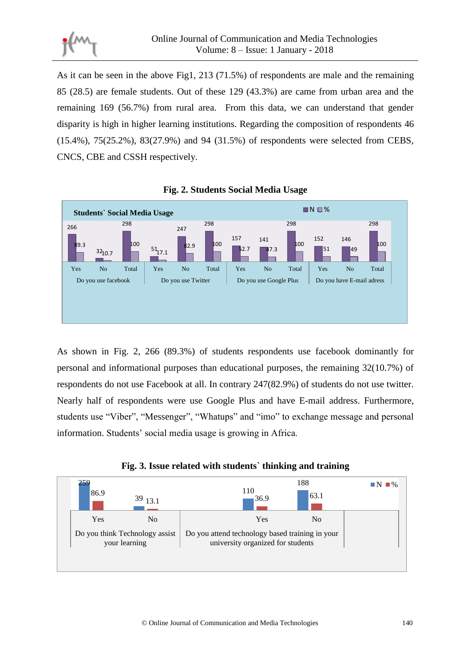

As it can be seen in the above Fig1, 213 (71.5%) of respondents are male and the remaining 85 (28.5) are female students. Out of these 129 (43.3%) are came from urban area and the remaining 169 (56.7%) from rural area. From this data, we can understand that gender disparity is high in higher learning institutions. Regarding the composition of respondents 46 (15.4%), 75(25.2%), 83(27.9%) and 94 (31.5%) of respondents were selected from CEBS, CNCS, CBE and CSSH respectively.



**Fig. 2. Students Social Media Usage**

As shown in Fig. 2, 266 (89.3%) of students respondents use facebook dominantly for personal and informational purposes than educational purposes, the remaining 32(10.7%) of respondents do not use Facebook at all. In contrary 247(82.9%) of students do not use twitter. Nearly half of respondents were use Google Plus and have E-mail address. Furthermore, students use "Viber", "Messenger", "Whatups" and "imo" to exchange message and personal information. Students' social media usage is growing in Africa.



university organized for students

your learning

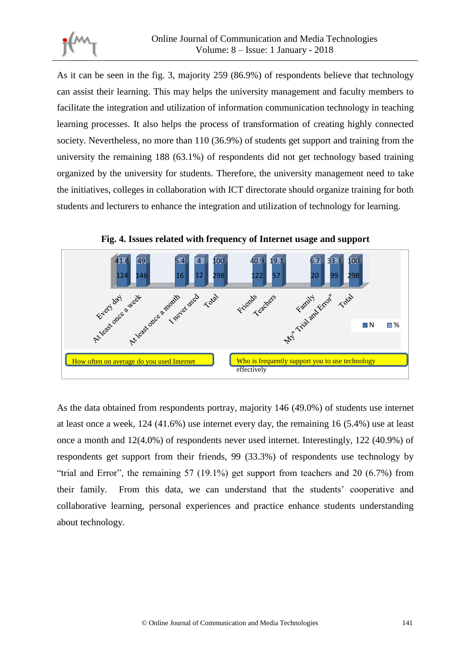

As it can be seen in the fig. 3, majority 259 (86.9%) of respondents believe that technology can assist their learning. This may helps the university management and faculty members to facilitate the integration and utilization of information communication technology in teaching learning processes. It also helps the process of transformation of creating highly connected society. Nevertheless, no more than 110 (36.9%) of students get support and training from the university the remaining 188 (63.1%) of respondents did not get technology based training organized by the university for students. Therefore, the university management need to take the initiatives, colleges in collaboration with ICT directorate should organize training for both students and lecturers to enhance the integration and utilization of technology for learning.



**Fig. 4. Issues related with frequency of Internet usage and support**

As the data obtained from respondents portray, majority 146 (49.0%) of students use internet at least once a week, 124 (41.6%) use internet every day, the remaining 16 (5.4%) use at least once a month and 12(4.0%) of respondents never used internet. Interestingly, 122 (40.9%) of respondents get support from their friends, 99 (33.3%) of respondents use technology by "trial and Error", the remaining 57 (19.1%) get support from teachers and 20 (6.7%) from their family. From this data, we can understand that the students' cooperative and collaborative learning, personal experiences and practice enhance students understanding about technology.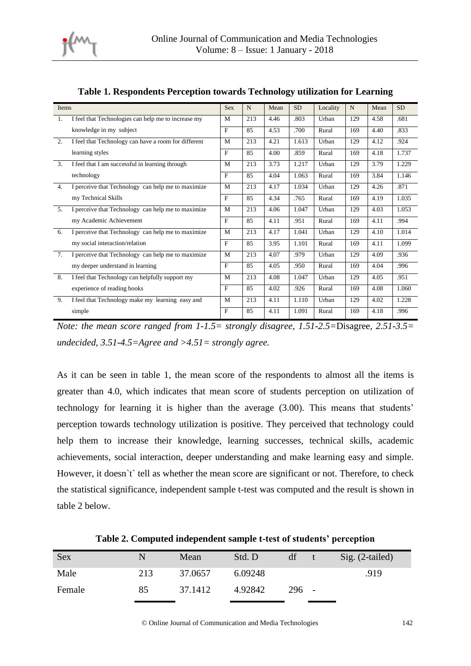

| Items            |                                                      | <b>Sex</b>   | N   | Mean | <b>SD</b> | Locality | N   | Mean | <b>SD</b> |
|------------------|------------------------------------------------------|--------------|-----|------|-----------|----------|-----|------|-----------|
| $\overline{1}$ . | I feel that Technologies can help me to increase my  | M            | 213 | 4.46 | .803      | Urban    | 129 | 4.58 | .681      |
|                  | knowledge in my subject                              | $\mathbf{F}$ | 85  | 4.53 | .700      | Rural    | 169 | 4.40 | .833      |
| 2.               | I feel that Technology can have a room for different | M            | 213 | 4.21 | 1.613     | Urban    | 129 | 4.12 | .924      |
|                  | learning styles                                      | F            | 85  | 4.00 | .859      | Rural    | 169 | 4.18 | 1.737     |
| $\mathcal{E}$    | I feel that I am successful in learning through      | M            | 213 | 3.73 | 1.217     | Urban    | 129 | 3.79 | 1.229     |
|                  | technology                                           | $\mathbf{F}$ | 85  | 4.04 | 1.063     | Rural    | 169 | 3.84 | 1.146     |
| 4.               | I perceive that Technology can help me to maximize   | M            | 213 | 4.17 | 1.034     | Urban    | 129 | 4.26 | .871      |
|                  | my Technical Skills                                  | $\mathbf{F}$ | 85  | 4.34 | .765      | Rural    | 169 | 4.19 | 1.035     |
| 5.               | I perceive that Technology can help me to maximize   | M            | 213 | 4.06 | 1.047     | Urban    | 129 | 4.03 | 1.053     |
|                  | my Academic Achievement                              | $\mathbf{F}$ | 85  | 4.11 | .951      | Rural    | 169 | 4.11 | .994      |
| 6.               | I perceive that Technology can help me to maximize   | M            | 213 | 4.17 | 1.041     | Urban    | 129 | 4.10 | 1.014     |
|                  | my social interaction/relation                       | F            | 85  | 3.95 | 1.101     | Rural    | 169 | 4.11 | 1.099     |
| 7 <sub>1</sub>   | I perceive that Technology can help me to maximize   | M            | 213 | 4.07 | .979      | Urban    | 129 | 4.09 | .936      |
|                  | my deeper understand in learning                     | F            | 85  | 4.05 | .950      | Rural    | 169 | 4.04 | .996      |
| 8.               | I feel that Technology can helpfully support my      | M            | 213 | 4.08 | 1.047     | Urban    | 129 | 4.05 | .951      |
|                  | experience of reading books                          | $\mathbf{F}$ | 85  | 4.02 | .926      | Rural    | 169 | 4.08 | 1.060     |
| 9.               | I feel that Technology make my learning easy and     | M            | 213 | 4.11 | 1.110     | Urban    | 129 | 4.02 | 1.228     |
|                  | simple                                               | F            | 85  | 4.11 | 1.091     | Rural    | 169 | 4.18 | .996      |

| Table 1. Respondents Perception towards Technology utilization for Learning |  |  |  |
|-----------------------------------------------------------------------------|--|--|--|

*Note: the mean score ranged from 1-1.5= strongly disagree, 1.51-2.5=*Disagree*, 2.51-3.5= undecided, 3.51-4.5=Agree and >4.51= strongly agree.* 

As it can be seen in table 1, the mean score of the respondents to almost all the items is greater than 4.0, which indicates that mean score of students perception on utilization of technology for learning it is higher than the average (3.00). This means that students' perception towards technology utilization is positive. They perceived that technology could help them to increase their knowledge, learning successes, technical skills, academic achievements, social interaction, deeper understanding and make learning easy and simple. However, it doesn't' tell as whether the mean score are significant or not. Therefore, to check the statistical significance, independent sample t-test was computed and the result is shown in table 2 below.

| Sex    |     | Mean    | Std. D  | df    | Sig. (2-tailed) |
|--------|-----|---------|---------|-------|-----------------|
| Male   | 213 | 37.0657 | 6.09248 |       | .919            |
| Female | 85  | 37.1412 | 4.92842 | 296 - |                 |

**Table 2. Computed independent sample t-test of students' perception**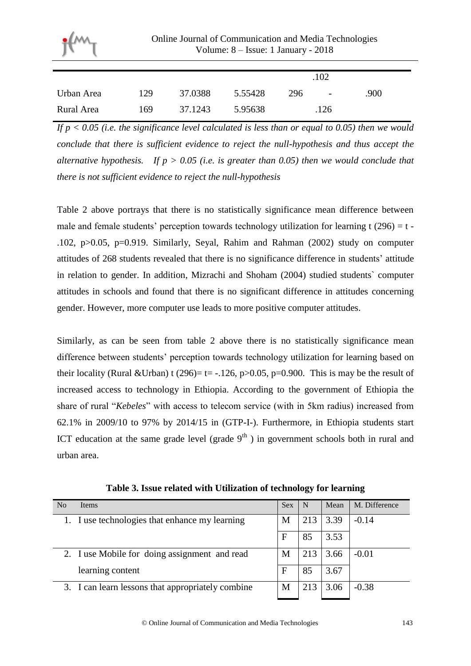| Online Journal of Communication and Media Technologies<br>Volume: $8 -$ Issue: 1 January - 2018 |         |         |     |      |      |  |
|-------------------------------------------------------------------------------------------------|---------|---------|-----|------|------|--|
|                                                                                                 |         |         |     | .102 |      |  |
| 129                                                                                             | 37.0388 | 5.55428 | 296 |      | .900 |  |
| 5.95638<br>37.1243<br>169                                                                       |         |         |     | .126 |      |  |
|                                                                                                 |         |         |     |      |      |  |

*If p < 0.05 (i.e. the significance level calculated is less than or equal to 0.05) then we would conclude that there is sufficient evidence to reject the null-hypothesis and thus accept the alternative hypothesis. If p > 0.05 (i.e. is greater than 0.05) then we would conclude that there is not sufficient evidence to reject the null-hypothesis*

Table 2 above portrays that there is no statistically significance mean difference between male and female students' perception towards technology utilization for learning t (296) =  $t$  -.102, p>0.05, p=0.919. Similarly, Seyal, Rahim and Rahman (2002) study on computer attitudes of 268 students revealed that there is no significance difference in students' attitude in relation to gender. In addition, Mizrachi and Shoham (2004) studied students` computer attitudes in schools and found that there is no significant difference in attitudes concerning gender. However, more computer use leads to more positive computer attitudes.

Similarly, as can be seen from table 2 above there is no statistically significance mean difference between students' perception towards technology utilization for learning based on their locality (Rural &Urban) t (296)= t= -.126, p>0.05, p=0.900. This is may be the result of increased access to technology in Ethiopia. According to the government of Ethiopia the share of rural "*Kebeles*" with access to telecom service (with in 5km radius) increased from 62.1% in 2009/10 to 97% by 2014/15 in (GTP-I-). Furthermore, in Ethiopia students start ICT education at the same grade level (grade  $9<sup>th</sup>$ ) in government schools both in rural and urban area.

| N <sub>o</sub> | <b>Items</b>                                      | <b>Sex</b> | -N  | Mean | M. Difference |
|----------------|---------------------------------------------------|------------|-----|------|---------------|
|                | 1. I use technologies that enhance my learning    | М          | 213 | 3.39 | $-0.14$       |
|                |                                                   | F          | 85  | 3.53 |               |
|                | 2. I use Mobile for doing assignment and read     | М          | 213 | 3.66 | $-0.01$       |
|                | learning content                                  | F          | 85  | 3.67 |               |
|                | 3. I can learn lessons that appropriately combine | М          | 213 | 3.06 | $-0.38$       |

**Table 3. Issue related with Utilization of technology for learning**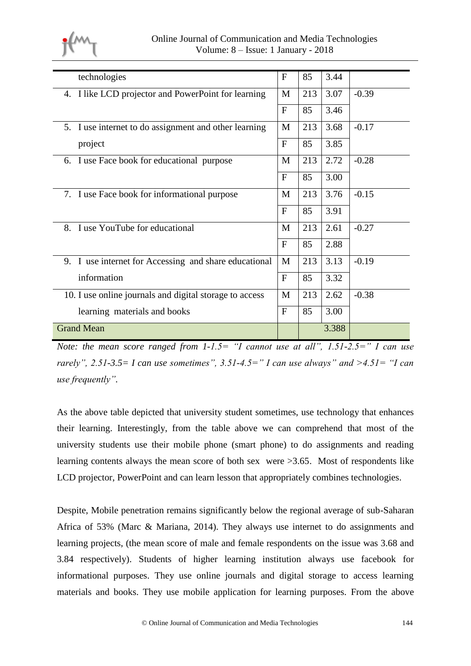

| technologies                                            | F            | 85  | 3.44  |         |
|---------------------------------------------------------|--------------|-----|-------|---------|
| 4. I like LCD projector and PowerPoint for learning     | M            | 213 | 3.07  | $-0.39$ |
|                                                         | F            | 85  | 3.46  |         |
| 5. I use internet to do assignment and other learning   | M            | 213 | 3.68  | $-0.17$ |
| project                                                 | $\mathbf{F}$ | 85  | 3.85  |         |
| 6. I use Face book for educational purpose              | M            | 213 | 2.72  | $-0.28$ |
|                                                         | F            | 85  | 3.00  |         |
| 7. I use Face book for informational purpose            | M            | 213 | 3.76  | $-0.15$ |
|                                                         | $\mathbf{F}$ | 85  | 3.91  |         |
| I use YouTube for educational<br>8.                     | M            | 213 | 2.61  | $-0.27$ |
|                                                         | $\mathbf{F}$ | 85  | 2.88  |         |
| 9. I use internet for Accessing and share educational   | M            | 213 | 3.13  | $-0.19$ |
| information                                             | $\mathbf{F}$ | 85  | 3.32  |         |
| 10. I use online journals and digital storage to access | M            | 213 | 2.62  | $-0.38$ |
| learning materials and books                            | $\mathbf{F}$ | 85  | 3.00  |         |
| <b>Grand Mean</b>                                       |              |     | 3.388 |         |

*Note: the mean score ranged from 1-1.5= "I cannot use at all", 1.51-2.5=" I can use rarely", 2.51-3.5= I can use sometimes", 3.51-4.5=" I can use always" and >4.51= "I can use frequently".* 

As the above table depicted that university student sometimes, use technology that enhances their learning. Interestingly, from the table above we can comprehend that most of the university students use their mobile phone (smart phone) to do assignments and reading learning contents always the mean score of both sex were >3.65. Most of respondents like LCD projector, PowerPoint and can learn lesson that appropriately combines technologies.

Despite, Mobile penetration remains significantly below the regional average of sub-Saharan Africa of 53% (Marc & Mariana, 2014). They always use internet to do assignments and learning projects, (the mean score of male and female respondents on the issue was 3.68 and 3.84 respectively). Students of higher learning institution always use facebook for informational purposes. They use online journals and digital storage to access learning materials and books. They use mobile application for learning purposes. From the above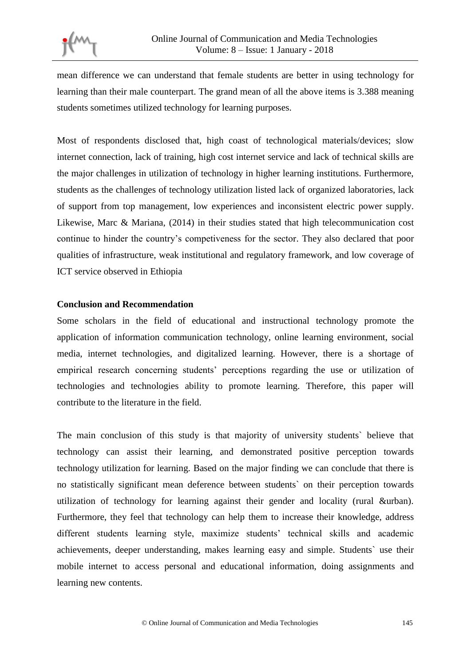mean difference we can understand that female students are better in using technology for learning than their male counterpart. The grand mean of all the above items is 3.388 meaning students sometimes utilized technology for learning purposes.

Most of respondents disclosed that, high coast of technological materials/devices; slow internet connection, lack of training, high cost internet service and lack of technical skills are the major challenges in utilization of technology in higher learning institutions. Furthermore, students as the challenges of technology utilization listed lack of organized laboratories, lack of support from top management, low experiences and inconsistent electric power supply. Likewise, Marc & Mariana, (2014) in their studies stated that high telecommunication cost continue to hinder the country's competiveness for the sector. They also declared that poor qualities of infrastructure, weak institutional and regulatory framework, and low coverage of ICT service observed in Ethiopia

#### **Conclusion and Recommendation**

Some scholars in the field of educational and instructional technology promote the application of information communication technology, online learning environment, social media, internet technologies, and digitalized learning. However, there is a shortage of empirical research concerning students' perceptions regarding the use or utilization of technologies and technologies ability to promote learning. Therefore, this paper will contribute to the literature in the field.

The main conclusion of this study is that majority of university students` believe that technology can assist their learning, and demonstrated positive perception towards technology utilization for learning. Based on the major finding we can conclude that there is no statistically significant mean deference between students` on their perception towards utilization of technology for learning against their gender and locality (rural &urban). Furthermore, they feel that technology can help them to increase their knowledge, address different students learning style, maximize students' technical skills and academic achievements, deeper understanding, makes learning easy and simple. Students` use their mobile internet to access personal and educational information, doing assignments and learning new contents.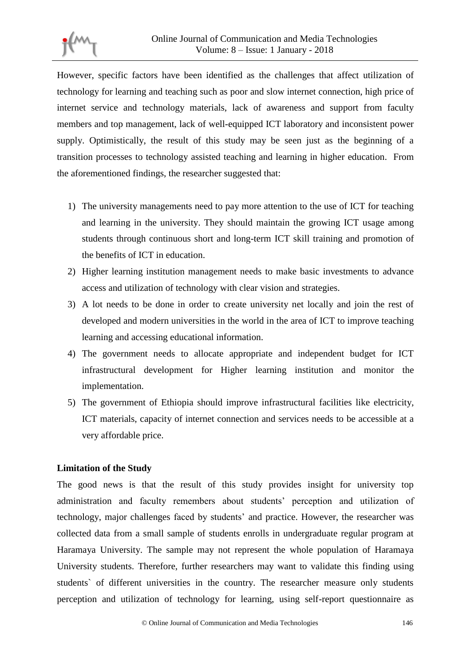However, specific factors have been identified as the challenges that affect utilization of technology for learning and teaching such as poor and slow internet connection, high price of internet service and technology materials, lack of awareness and support from faculty members and top management, lack of well-equipped ICT laboratory and inconsistent power supply. Optimistically, the result of this study may be seen just as the beginning of a transition processes to technology assisted teaching and learning in higher education. From the aforementioned findings, the researcher suggested that:

- 1) The university managements need to pay more attention to the use of ICT for teaching and learning in the university. They should maintain the growing ICT usage among students through continuous short and long-term ICT skill training and promotion of the benefits of ICT in education.
- 2) Higher learning institution management needs to make basic investments to advance access and utilization of technology with clear vision and strategies.
- 3) A lot needs to be done in order to create university net locally and join the rest of developed and modern universities in the world in the area of ICT to improve teaching learning and accessing educational information.
- 4) The government needs to allocate appropriate and independent budget for ICT infrastructural development for Higher learning institution and monitor the implementation.
- 5) The government of Ethiopia should improve infrastructural facilities like electricity, ICT materials, capacity of internet connection and services needs to be accessible at a very affordable price.

# **Limitation of the Study**

The good news is that the result of this study provides insight for university top administration and faculty remembers about students' perception and utilization of technology, major challenges faced by students' and practice. However, the researcher was collected data from a small sample of students enrolls in undergraduate regular program at Haramaya University. The sample may not represent the whole population of Haramaya University students. Therefore, further researchers may want to validate this finding using students` of different universities in the country. The researcher measure only students perception and utilization of technology for learning, using self-report questionnaire as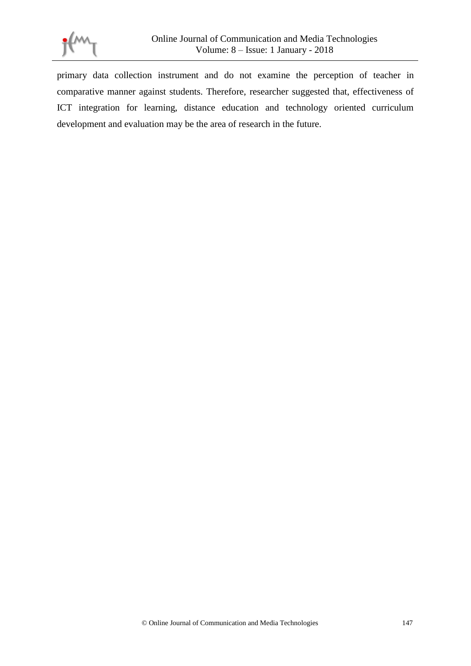

primary data collection instrument and do not examine the perception of teacher in comparative manner against students. Therefore, researcher suggested that, effectiveness of ICT integration for learning, distance education and technology oriented curriculum development and evaluation may be the area of research in the future.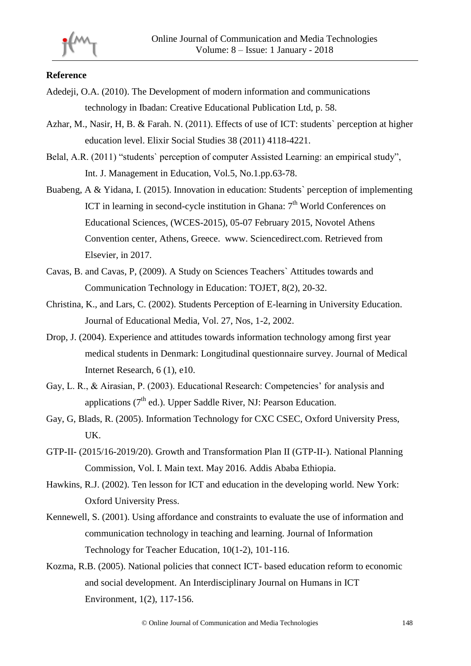#### **Reference**

- Adedeji, O.A. (2010). The Development of modern information and communications technology in Ibadan: Creative Educational Publication Ltd, p. 58.
- Azhar, M., Nasir, H, B. & Farah. N. (2011). Effects of use of ICT: students` perception at higher education level. Elixir Social Studies 38 (2011) 4118-4221.
- Belal, A.R. (2011) "students` perception of computer Assisted Learning: an empirical study", Int. J. Management in Education, Vol.5, No.1.pp.63-78.
- Buabeng, A & Yidana, I. (2015). Innovation in education: Students` perception of implementing ICT in learning in second-cycle institution in Ghana:  $7<sup>th</sup>$  World Conferences on Educational Sciences, (WCES-2015), 05-07 February 2015, Novotel Athens Convention center, Athens, Greece. www. Sciencedirect.com. Retrieved from Elsevier, in 2017.
- Cavas, B. and Cavas, P, (2009). A Study on Sciences Teachers` Attitudes towards and Communication Technology in Education: TOJET, 8(2), 20-32.
- Christina, K., and Lars, C. (2002). Students Perception of E-learning in University Education. Journal of Educational Media, Vol. 27, Nos, 1-2, 2002.
- Drop, J. (2004). Experience and attitudes towards information technology among first year medical students in Denmark: Longitudinal questionnaire survey. Journal of Medical Internet Research, 6 (1), e10.
- Gay, L. R., & Airasian, P. (2003). Educational Research: Competencies' for analysis and applications  $(7<sup>th</sup>$  ed.). Upper Saddle River, NJ: Pearson Education.
- Gay, G, Blads, R. (2005). Information Technology for CXC CSEC, Oxford University Press, UK.
- GTP-II- (2015/16-2019/20). Growth and Transformation Plan II (GTP-II-). National Planning Commission, Vol. I. Main text. May 2016. Addis Ababa Ethiopia.
- Hawkins, R.J. (2002). Ten lesson for ICT and education in the developing world. New York: Oxford University Press.
- Kennewell, S. (2001). Using affordance and constraints to evaluate the use of information and communication technology in teaching and learning. Journal of Information Technology for Teacher Education, 10(1-2), 101-116.
- Kozma, R.B. (2005). National policies that connect ICT- based education reform to economic and social development. An Interdisciplinary Journal on Humans in ICT Environment, 1(2), 117-156.